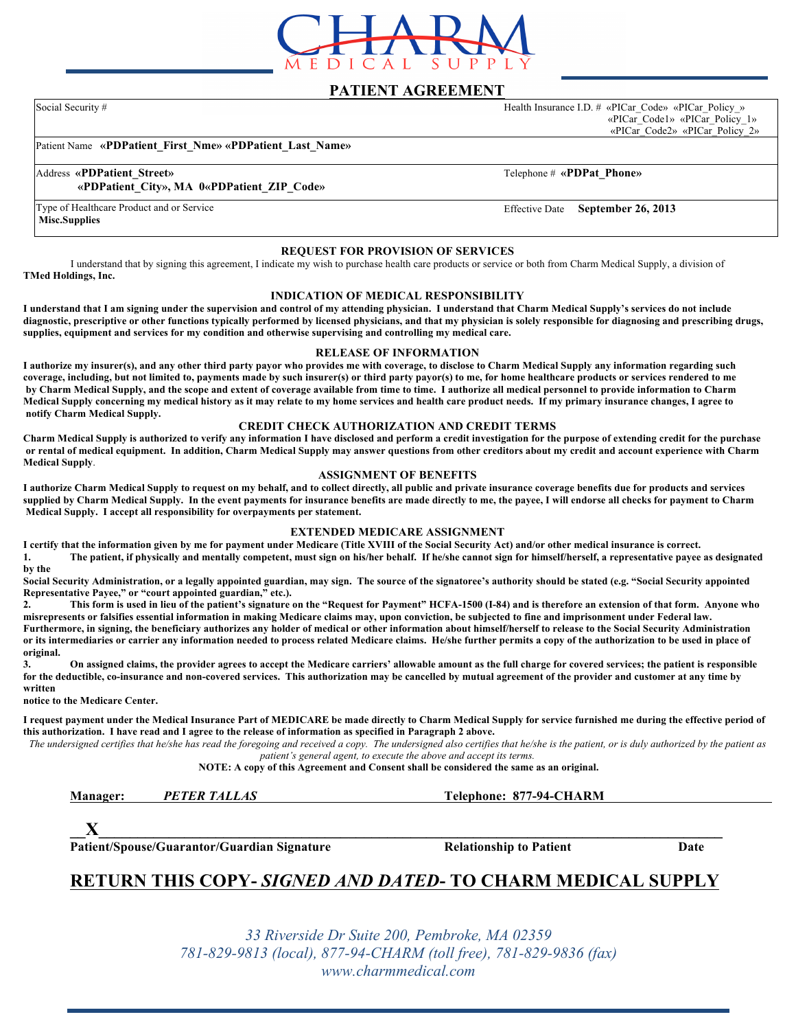

## **PATIENT AGREEMENT**

Social Security # Health Insurance I.D. # «PICar Code» «PICar Policy » «PICar\_Code1» «PICar\_Policy\_1» «PICar\_Code2» «PICar\_Policy\_2»

Patient Name **«PDPatient\_First\_Nme» «PDPatient\_Last\_Name»**

Address **«PDPatient\_Street»**

**«PDPatient\_City», MA 0«PDPatient\_ZIP\_Code»**

Effective Date **September 26, 2013**

Telephone # **«PDPat\_Phone»**

Type of Healthcare Product and or Service **Misc.Supplies**

#### **REQUEST FOR PROVISION OF SERVICES**

I understand that by signing this agreement, I indicate my wish to purchase health care products or service or both from Charm Medical Supply, a division of **TMed Holdings, Inc.**

#### **INDICATION OF MEDICAL RESPONSIBILITY**

**I understand that I am signing under the supervision and control of my attending physician. I understand that Charm Medical Supply's services do not include diagnostic, prescriptive or other functions typically performed by licensed physicians, and that my physician is solely responsible for diagnosing and prescribing drugs, supplies, equipment and services for my condition and otherwise supervising and controlling my medical care.**

#### **RELEASE OF INFORMATION**

**I authorize my insurer(s), and any other third party payor who provides me with coverage, to disclose to Charm Medical Supply any information regarding such**  coverage, including, but not limited to, payments made by such insurer(s) or third party payor(s) to me, for home healthcare products or services rendered to me **by Charm Medical Supply, and the scope and extent of coverage available from time to time. I authorize all medical personnel to provide information to Charm Medical Supply concerning my medical history as it may relate to my home services and health care product needs. If my primary insurance changes, I agree to notify Charm Medical Supply.**

#### **CREDIT CHECK AUTHORIZATION AND CREDIT TERMS**

**Charm Medical Supply is authorized to verify any information I have disclosed and perform a credit investigation for the purpose of extending credit for the purchase or rental of medical equipment. In addition, Charm Medical Supply may answer questions from other creditors about my credit and account experience with Charm Medical Supply**.

#### **ASSIGNMENT OF BENEFITS**

**I authorize Charm Medical Supply to request on my behalf, and to collect directly, all public and private insurance coverage benefits due for products and services supplied by Charm Medical Supply. In the event payments for insurance benefits are made directly to me, the payee, I will endorse all checks for payment to Charm Medical Supply. I accept all responsibility for overpayments per statement.**

#### **EXTENDED MEDICARE ASSIGNMENT**

**I certify that the information given by me for payment under Medicare (Title XVIII of the Social Security Act) and/or other medical insurance is correct. 1. The patient, if physically and mentally competent, must sign on his/her behalf. If he/she cannot sign for himself/herself, a representative payee as designated by the** 

**Social Security Administration, or a legally appointed guardian, may sign. The source of the signatoree's authority should be stated (e.g. "Social Security appointed Representative Payee," or "court appointed guardian," etc.).**

**2. This form is used in lieu of the patient's signature on the "Request for Payment" HCFA-1500 (I-84) and is therefore an extension of that form. Anyone who misrepresents or falsifies essential information in making Medicare claims may, upon conviction, be subjected to fine and imprisonment under Federal law. Furthermore, in signing, the beneficiary authorizes any holder of medical or other information about himself/herself to release to the Social Security Administration or its intermediaries or carrier any information needed to process related Medicare claims. He/she further permits a copy of the authorization to be used in place of original.**

**3. On assigned claims, the provider agrees to accept the Medicare carriers' allowable amount as the full charge for covered services; the patient is responsible**  for the deductible, co-insurance and non-covered services. This authorization may be cancelled by mutual agreement of the provider and customer at any time by **written** 

**notice to the Medicare Center.**

**I request payment under the Medical Insurance Part of MEDICARE be made directly to Charm Medical Supply for service furnished me during the effective period of this authorization. I have read and I agree to the release of information as specified in Paragraph 2 above.**

*The undersigned certifies that he/she has read the foregoing and received a copy. The undersigned also certifies that he/she is the patient, or is duly authorized by the patient as patient's general agent, to execute the above and accept its terms.*

**NOTE: A copy of this Agreement and Consent shall be considered the same as an original.**

|  | Manager <sup>.</sup> | <b>PETER TALLAS</b> | Telephone: 877-94-CHARM |
|--|----------------------|---------------------|-------------------------|
|--|----------------------|---------------------|-------------------------|

 $\mathbf{X}_{\perp}$  ,  $\mathbf{X}_{\perp}$  ,  $\mathbf{X}_{\perp}$  ,  $\mathbf{X}_{\perp}$  ,  $\mathbf{X}_{\perp}$  ,  $\mathbf{X}_{\perp}$  ,  $\mathbf{X}_{\perp}$  ,  $\mathbf{X}_{\perp}$  ,  $\mathbf{X}_{\perp}$  ,  $\mathbf{X}_{\perp}$  ,  $\mathbf{X}_{\perp}$  ,  $\mathbf{X}_{\perp}$  ,  $\mathbf{X}_{\perp}$  ,  $\mathbf{X}_{\perp}$  ,  $\mathbf{X}_{\perp}$ 

**Patient/Spouse/Guarantor/Guardian Signature Relationship to Patient Date**

## **RETURN THIS COPY-** *SIGNED AND DATED***- TO CHARM MEDICAL SUPPLY**

*33 Riverside Dr Suite 200, Pembroke, MA 02359 781-829-9813 (local), 877-94-CHARM (toll free), 781-829-9836 (fax) www.charmmedical.com*